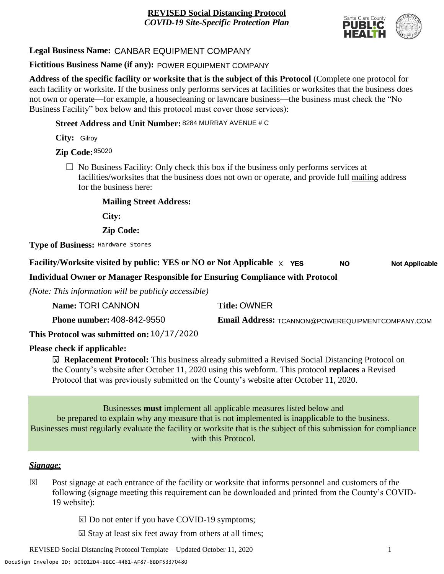

# **Legal Business Name:** CANBAR EQUIPMENT COMPANY

## **Fictitious Business Name (if any):** POWER EQUIPMENT COMPANY

**Address of the specific facility or worksite that is the subject of this Protocol** (Complete one protocol for each facility or worksite. If the business only performs services at facilities or worksites that the business does not own or operate—for example, a housecleaning or lawncare business—the business must check the "No Business Facility" box below and this protocol must cover those services):

**Street Address and Unit Number:** 8284 MURRAY AVENUE # C

**City:** Gilroy

**Zip Code:** 95020

 $\Box$  No Business Facility: Only check this box if the business only performs services at facilities/worksites that the business does not own or operate, and provide full mailing address for the business here:

**Mailing Street Address:**

**City:**

**Zip Code:**

**Type of Business:** Hardware Stores

#### **Facility/Worksite visited by public: YES or NO or Not Applicable** X **YES Not Applicable NO**

**Individual Owner or Manager Responsible for Ensuring Compliance with Protocol**

*(Note: This information will be publicly accessible)*

| Name: TORI CANNON                 | <b>Title: OWNER</b>                              |
|-----------------------------------|--------------------------------------------------|
| <b>Phone number: 408-842-9550</b> | Email Address: TCANNON@POWEREQUIPMENTCOMPANY.COM |

**This Protocol was submitted on:** 10/17/2020

# **Please check if applicable:**

**<u><b>⊠**</u> Replacement Protocol: This business already submitted a Revised Social Distancing Protocol on the County's website after October 11, 2020 using this webform. This protocol **replaces** a Revised Protocol that was previously submitted on the County's website after October 11, 2020.

Businesses **must** implement all applicable measures listed below and be prepared to explain why any measure that is not implemented is inapplicable to the business. Businesses must regularly evaluate the facility or worksite that is the subject of this submission for compliance with this Protocol.

# *Signage:*

- Post signage at each entrance of the facility or worksite that informs personnel and customers of the following (signage meeting this requirement can be downloaded and printed from the County's COVID-19 website):  $|\overline{x}|$ 
	- $\boxed{\times}$  Do not enter if you have COVID-19 symptoms;
	- $\boxtimes$  Stay at least six feet away from others at all times;

REVISED Social Distancing Protocol Template – Updated October 11, 2020 1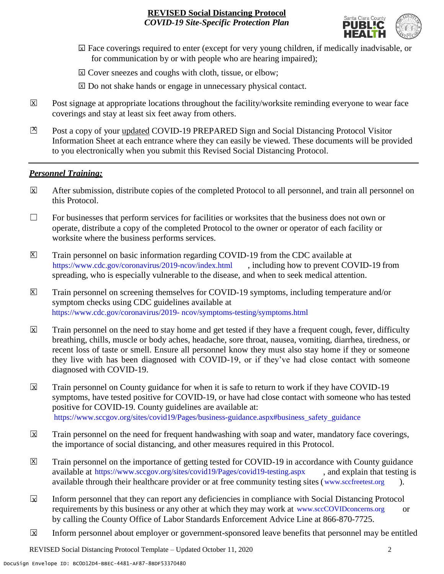

- ☐ Face coverings required to enter (except for very young children, if medically inadvisable, or X for communication by or with people who are hearing impaired);
- ⊠ Cover sneezes and coughs with cloth, tissue, or elbow;
- ⊠ Do not shake hands or engage in unnecessary physical contact.
- Post signage at appropriate locations throughout the facility/worksite reminding everyone to wear face coverings and stay at least six feet away from others. X
- Post a copy of your updated COVID-19 PREPARED Sign and Social Distancing Protocol Visitor Information Sheet at each entrance where they can easily be viewed. These documents will be provided to you electronically when you submit this Revised Social Distancing Protocol.  $\mathbb{Z}$

#### *Personnel Training:*

- After submission, distribute copies of the completed Protocol to all personnel, and train all personnel on this Protocol.  $\mathbf x$
- $\Box$  For businesses that perform services for facilities or worksites that the business does not own or operate, distribute a copy of the completed Protocol to the owner or operator of each facility or worksite where the business performs services.
- Train personnel on basic information regarding COVID-19 from the CDC available at [https://www.cdc.gov/coronavirus/2019-ncov/index.html,](https://www.cdc.gov/coronavirus/2019-ncov/index.html) including how to prevent COVID-19 from spreading, who is especially vulnerable to the disease, and when to seek medical attention.  $\mathsf{X}$
- Train personnel on screening themselves for COVID-19 symptoms, including temperature and/or symptom checks using CDC guidelines available at [https://www.cdc.gov/coronavirus/2019-](https://www.cdc.gov/coronavirus/2019-ncov/symptoms-testing/symptoms.html) [ncov/symptoms-testing/symptoms.html.](https://www.cdc.gov/coronavirus/2019-ncov/symptoms-testing/symptoms.html) https://www.cdc.gov/coronavirus/2019- ncov/symptoms-testing/symptoms.html  $|\mathsf{X}|$
- Train personnel on the need to stay home and get tested if they have a frequent cough, fever, difficulty breathing, chills, muscle or body aches, headache, sore throat, nausea, vomiting, diarrhea, tiredness, or recent loss of taste or smell. Ensure all personnel know they must also stay home if they or someone they live with has been diagnosed with COVID-19, or if they've had close contact with someone diagnosed with COVID-19.  $\overline{\mathsf{x}}$
- Train personnel on County guidance for when it is safe to return to work if they have COVID-19 symptoms, have tested positive for COVID-19, or have had close contact with someone who has tested positive for COVID-19. County guidelines are available at: [https://www.sccgov.org/sites/covid19/Pages/business-guidance.aspx#business\\_safety\\_guidance.](https://www.sccgov.org/sites/covid19/Pages/business-guidance.aspx#business_safety_guidance.) https://www.sccgov.org/sites/covid19/Pages/business-guidance.aspx#business\_safety\_guidance X
- Train personnel on the need for frequent handwashing with soap and water, mandatory face coverings, the importance of social distancing, and other measures required in this Protocol.  $\overline{\mathsf{x}}$
- Train personnel on the importance of getting tested for COVID-19 in accordance with County guidance available at [https://www.sccgov.org/sites/covid19/Pages/covid19-testing.aspx,](https://www.sccgov.org/sites/covid19/Pages/covid19-testing.aspx) and explain that testing is available through their healthcare provider or at free community testing sites [\(www.sccfreetest.org](http://www.sccfreetest.org/) ).  $\vert X \vert$
- Inform personnel that they can report any deficiencies in compliance with Social Distancing Protocol requirements by this business or any other at which they may work at [www.sccCOVIDconcerns.org](http://www.scccovidconcerns.org/) or by calling the County Office of Labor Standards Enforcement Advice Line at 866-870-7725.  $\overline{\mathbf{x}}$
- Inform personnel about employer or government-sponsored leave benefits that personnel may be entitled  $\boxtimes$

REVISED Social Distancing Protocol Template – Updated October 11, 2020 2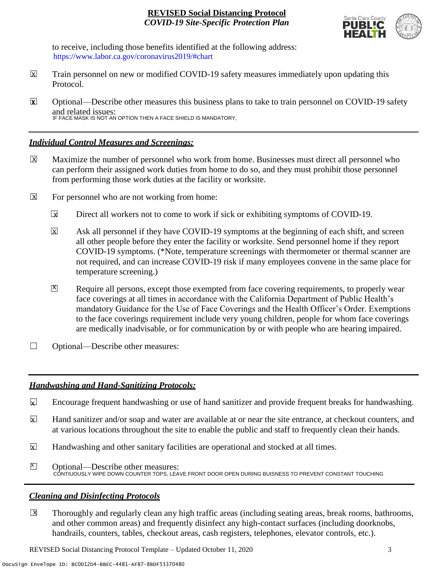

to receive, including those benefits identified at the following address: [https://www.labor.ca.gov/coronavirus2019/#chart.](https://www.labor.ca.gov/coronavirus2019/#chart) https://www.labor.ca.gov/coronavirus2019/#chart

- Train personnel on new or modified COVID-19 safety measures immediately upon updating this Protocol.  $\boxtimes$
- ☐ Optional—Describe other measures this business plans to take to train personnel on COVID-19 safety and related issues: IF FACE MASK IS NOT AN OPTION THEN A FACE SHIELD IS MANDATORY, **X**

#### *Individual Control Measures and Screenings:*

- Maximize the number of personnel who work from home. Businesses must direct all personnel who can perform their assigned work duties from home to do so, and they must prohibit those personnel from performing those work duties at the facility or worksite.  $|\overline{X}|$
- For personnel who are not working from home:  $\boxtimes$ 
	- Direct all workers not to come to work if sick or exhibiting symptoms of COVID-19.  $\overline{\mathbf{x}}$
	- Ask all personnel if they have COVID-19 symptoms at the beginning of each shift, and screen all other people before they enter the facility or worksite. Send personnel home if they report COVID-19 symptoms. (\*Note, temperature screenings with thermometer or thermal scanner are not required, and can increase COVID-19 risk if many employees convene in the same place for temperature screening.)  $\overline{\mathbf{x}}$
	- Require all persons, except those exempted from face covering requirements, to properly wear face coverings at all times in accordance with the California Department of Public Health's mandatory Guidance for the Use of Face Coverings and the Health Officer's Order. Exemptions to the face coverings requirement include very young children, people for whom face coverings are medically inadvisable, or for communication by or with people who are hearing impaired.  $\mathbf{X}$
- ☐ Optional—Describe other measures:

# *Handwashing and Hand-Sanitizing Protocols:*

- Encourage frequent handwashing or use of hand sanitizer and provide frequent breaks for handwashing.  $\mathbf{x}$
- Hand sanitizer and/or soap and water are available at or near the site entrance, at checkout counters, and at various locations throughout the site to enable the public and staff to frequently clean their hands.  $\mathbf{x}$
- Handwashing and other sanitary facilities are operational and stocked at all times.  $\mathbf{x}$
- ☐ Optional—Describe other measures: CONTIUOUSLY WIPE DOWN COUNTER TOPS, LEAVE FRONT DOOR OPEN DURING BUISNESS TO PREVENT CONSTANT TOUCHING  $\sum$

# *Cleaning and Disinfecting Protocols*

☐ Thoroughly and regularly clean any high traffic areas (including seating areas, break rooms, bathrooms, and other common areas) and frequently disinfect any high-contact surfaces (including doorknobs, handrails, counters, tables, checkout areas, cash registers, telephones, elevator controls, etc.).  $\overline{X}$ 

REVISED Social Distancing Protocol Template – Updated October 11, 2020 3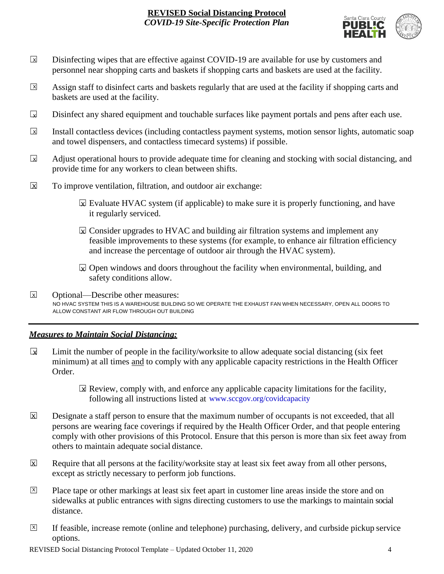

- Disinfecting wipes that are effective against COVID-19 are available for use by customers and personnel near shopping carts and baskets if shopping carts and baskets are used at the facility.  $\boxed{\mathsf{x}}$
- Assign staff to disinfect carts and baskets regularly that are used at the facility if shopping carts and baskets are used at the facility.  $\sqrt{X}$
- Disinfect any shared equipment and touchable surfaces like payment portals and pens after each use.  $\Box$
- Install contactless devices (including contactless payment systems, motion sensor lights, automatic soap and towel dispensers, and contactless timecard systems) if possible.  $\overline{\mathbf{x}}$
- Adjust operational hours to provide adequate time for cleaning and stocking with social distancing, and provide time for any workers to clean between shifts.  $\sqrt{X}$
- To improve ventilation, filtration, and outdoor air exchange:  $\overline{\mathsf{x}}$ 
	- $\boxtimes$  Evaluate HVAC system (if applicable) to make sure it is properly functioning, and have it regularly serviced.
	- $\boxtimes$  Consider upgrades to HVAC and building air filtration systems and implement any feasible improvements to these systems (for example, to enhance air filtration efficiency and increase the percentage of outdoor air through the HVAC system).
	- $\boxdot$  Open windows and doors throughout the facility when environmental, building, and safety conditions allow.
- ☐ Optional—Describe other measures: NO HVAC SYSTEM THIS IS A WAREHOUSE BUILDING SO WE OPERATE THE EXHAUST FAN WHEN NECESSARY, OPEN ALL DOORS TO ALLOW CONSTANT AIR FLOW THROUGH OUT BUILDING X

# *Measures to Maintain Social Distancing:*

- Limit the number of people in the facility/worksite to allow adequate social distancing (six feet minimum) at all times and to comply with any applicable capacity restrictions in the Health Officer Order.  $\mathbf{r}$ 
	- $\boxtimes$  Review, comply with, and enforce any applicable capacity limitations for the facility, following all instructions listed at www.sccgov.org/covidcapacity
- Designate a staff person to ensure that the maximum number of occupants is not exceeded, that all persons are wearing face coverings if required by the Health Officer Order, and that people entering comply with other provisions of this Protocol. Ensure that this person is more than six feet away from others to maintain adequate social distance.  $\overline{X}$
- Require that all persons at the facility/worksite stay at least six feet away from all other persons, except as strictly necessary to perform job functions. X
- Place tape or other markings at least six feet apart in customer line areas inside the store and on sidewalks at public entrances with signs directing customers to use the markings to maintain social distance. X
- ☐ If feasible, increase remote (online and telephone) purchasing, delivery, and curbside pickup service options.  $\overline{X}$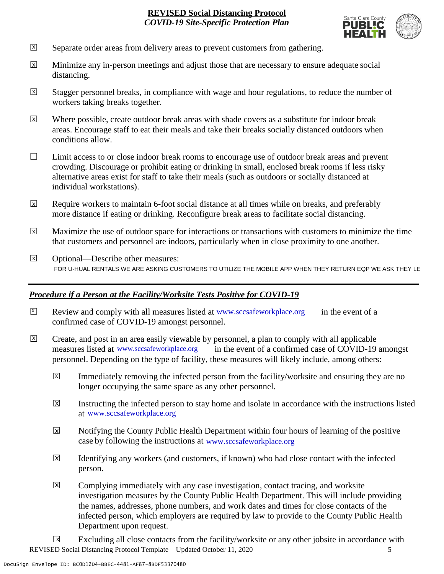

- Separate order areas from delivery areas to prevent customers from gathering. X
- Minimize any in-person meetings and adjust those that are necessary to ensure adequate social distancing.  $\overline{x}$
- Stagger personnel breaks, in compliance with wage and hour regulations, to reduce the number of workers taking breaks together.  $\overline{x}$
- Where possible, create outdoor break areas with shade covers as a substitute for indoor break areas. Encourage staff to eat their meals and take their breaks socially distanced outdoors when conditions allow. X
- ☐ Limit access to or close indoor break rooms to encourage use of outdoor break areas and prevent crowding. Discourage or prohibit eating or drinking in small, enclosed break rooms if less risky alternative areas exist for staff to take their meals (such as outdoors or socially distanced at individual workstations).
- Require workers to maintain 6-foot social distance at all times while on breaks, and preferably more distance if eating or drinking. Reconfigure break areas to facilitate social distancing. X
- Maximize the use of outdoor space for interactions or transactions with customers to minimize the time that customers and personnel are indoors, particularly when in close proximity to one another. X
- ☐ Optional—Describe other measures: FOR U-HUAL RENTALS WE ARE ASKING CUSTOMERS TO UTILIZE THE MOBILE APP WHEN THEY RETURN EQP WE ASK THEY LE  $\overline{x}$

# *Procedure if a Person at the Facility/Worksite Tests Positive for COVID-19*

- $\boxtimes$  Review and comply with all measures listed at [www.sccsafeworkplace.org](http://www.sccsafeworkplace.org/) in the event of a confirmed case of COVID-19 amongst personnel. X
- ☐ Create, and post in an area easily viewable by personnel, a plan to comply with all applicable in the event of a confirmed case of COVID-19 amongst personnel. Depending on the type of facility, these measures will likely include, among others: measures listed at www.sccsafeworkplace.org  $\overline{X}$ 
	- Immediately removing the infected person from the facility/worksite and ensuring they are no longer occupying the same space as any other personnel.  $\overline{X}$
	- Instructing the infected person to stay home and isolate in accordance with the instructions listed at [www.sccsafeworkplace.org.](file:///C:/Users/raphael.rajendra/AppData/Local/Microsoft/Windows/INetCache/Content.Outlook/PTLHNOTE/www.sccsafeworkplace.org) www.sccsafeworkplace.org X
	- Notifying the County Public Health Department within four hours of learning of the positive case by following the instructions at www.sccsafeworkplace.org  $\overline{X}$
	- Identifying any workers (and customers, if known) who had close contact with the infected person.  $\overline{\mathsf{x}}$
	- Complying immediately with any case investigation, contact tracing, and worksite investigation measures by the County Public Health Department. This will include providing the names, addresses, phone numbers, and work dates and times for close contacts of the infected person, which employers are required by law to provide to the County Public Health Department upon request.  $|\overline{X}|$

REVISED Social Distancing Protocol Template – Updated October 11, 2020 5 Excluding all close contacts from the facility/worksite or any other jobsite in accordance with  $\sqrt{X}$